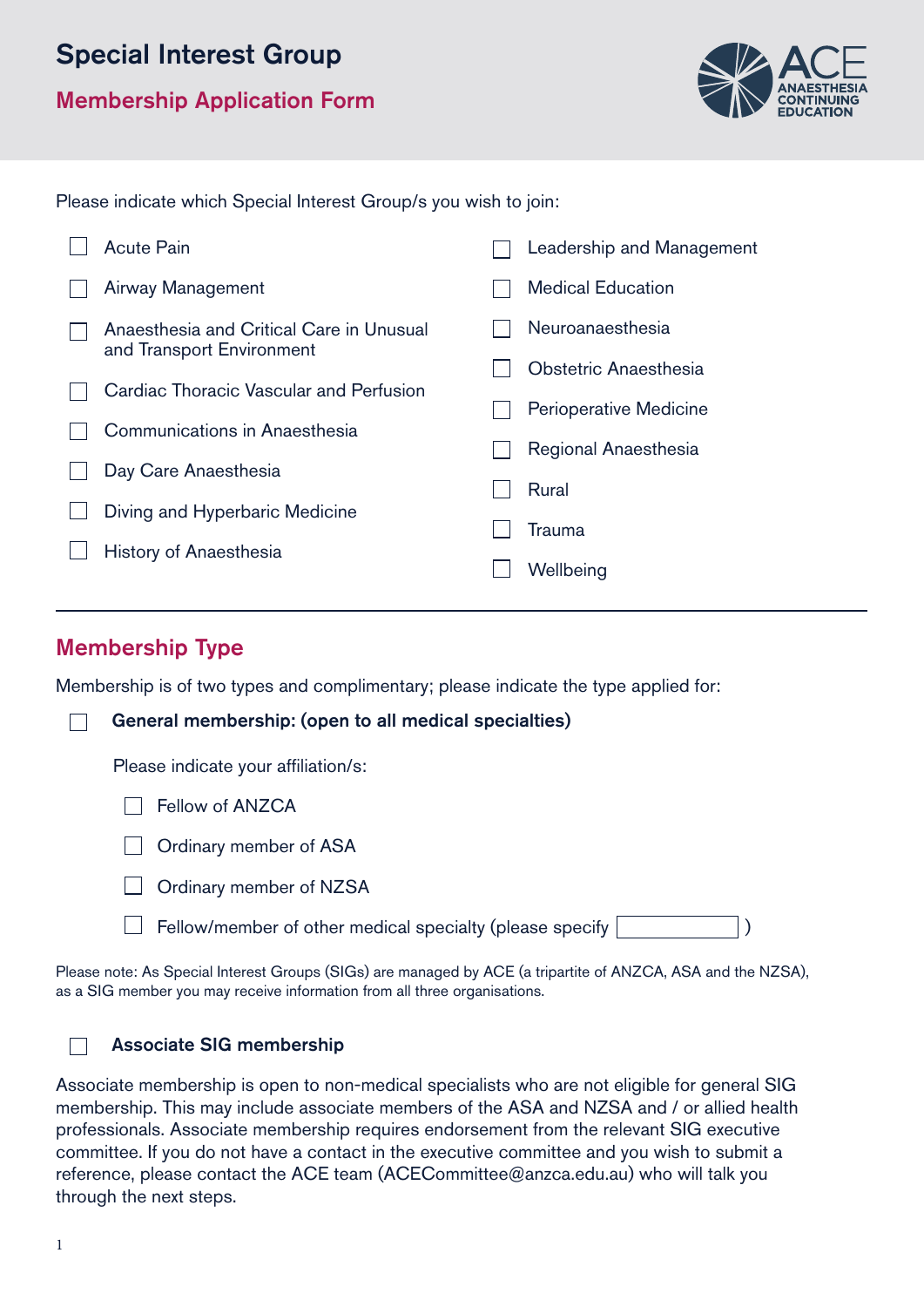# Special Interest Group

Membership Application Form



Please indicate which Special Interest Group/s you wish to join:

|  | Acute Pain                               | Leadership and Management |  |
|--|------------------------------------------|---------------------------|--|
|  | Airway Management                        | <b>Medical Education</b>  |  |
|  | Anaesthesia and Critical Care in Unusual | Neuroanaesthesia          |  |
|  | and Transport Environment                | Obstetric Anaesthesia     |  |
|  | Cardiac Thoracic Vascular and Perfusion  | Perioperative Medicine    |  |
|  | Communications in Anaesthesia            |                           |  |
|  |                                          | Regional Anaesthesia      |  |
|  | Day Care Anaesthesia                     |                           |  |
|  | Diving and Hyperbaric Medicine           | Rural                     |  |
|  |                                          | Trauma                    |  |
|  | History of Anaesthesia                   |                           |  |
|  |                                          | Wellbeing                 |  |

### Membership Type

Membership is of two types and complimentary; please indicate the type applied for:

| General membership: (open to all medical specialties)    |  |  |
|----------------------------------------------------------|--|--|
| Please indicate your affiliation/s:                      |  |  |
| Fellow of ANZCA                                          |  |  |
| Ordinary member of ASA                                   |  |  |
| Ordinary member of NZSA                                  |  |  |
| Fellow/member of other medical specialty (please specify |  |  |

Please note: As Special Interest Groups (SIGs) are managed by ACE (a tripartite of ANZCA, ASA and the NZSA), as a SIG member you may receive information from all three organisations.

#### Associate SIG membership

Associate membership is open to non-medical specialists who are not eligible for general SIG membership. This may include associate members of the ASA and NZSA and / or allied health professionals. Associate membership requires endorsement from the relevant SIG executive committee. If you do not have a contact in the executive committee and you wish to submit a reference, please contact the ACE team (ACECommittee@anzca.edu.au) who will talk you through the next steps.

 $\Box$